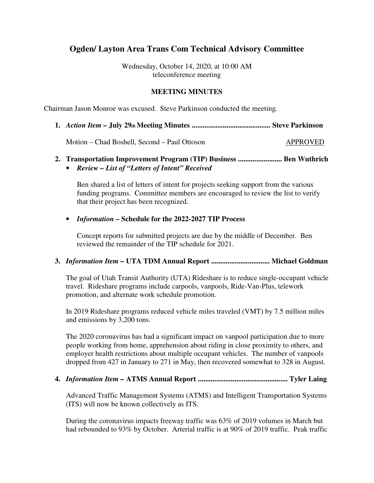## **Ogden/ Layton Area Trans Com Technical Advisory Committee**

Wednesday, October 14, 2020, at 10:00 AM teleconference meeting

### **MEETING MINUTES**

Chairman Jason Monroe was excused. Steve Parkinson conducted the meeting.

**1.** *Action Item –* **July 29***th* **Meeting Minutes ........................................... Steve Parkinson** 

Motion – Chad Boshell, Second – Paul Ottoson APPROVED

- **2. Transportation Improvement Program (TIP) Business ........................ Ben Wuthrich** 
	- *Review List of "Letters of Intent" Received*

Ben shared a list of letters of intent for projects seeking support from the various funding programs. Committee members are encouraged to review the list to verify that their project has been recognized.

#### • *Information –* **Schedule for the 2022-2027 TIP Process**

Concept reports for submitted projects are due by the middle of December. Ben reviewed the remainder of the TIP schedule for 2021.

#### **3.** *Information Item –* **UTA TDM Annual Report ................................ Michael Goldman**

The goal of Utah Transit Authority (UTA) Rideshare is to reduce single-occupant vehicle travel. Rideshare programs include carpools, vanpools, Ride-Van-Plus, telework promotion, and alternate work schedule promotion.

In 2019 Rideshare programs reduced vehicle miles traveled (VMT) by 7.5 million miles and emissions by 3,200 tons.

The 2020 coronavirus has had a significant impact on vanpool participation due to more people working from home, apprehension about riding in close proximity to others, and employer health restrictions about multiple occupant vehicles. The number of vanpools dropped from 427 in January to 271 in May, then recovered somewhat to 328 in August.

#### **4.** *Information Item –* **ATMS Annual Report ................................................. Tyler Laing**

Advanced Traffic Management Systems (ATMS) and Intelligent Transportation Systems (ITS) will now be known collectively as ITS.

During the coronavirus impacts freeway traffic was 63% of 2019 volumes in March but had rebounded to 93% by October. Arterial traffic is at 90% of 2019 traffic. Peak traffic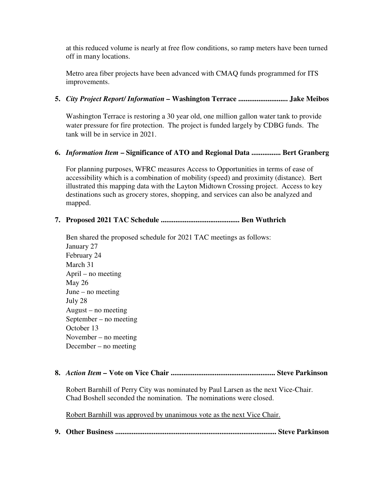at this reduced volume is nearly at free flow conditions, so ramp meters have been turned off in many locations.

Metro area fiber projects have been advanced with CMAQ funds programmed for ITS improvements.

## **5.** *City Project Report/ Information –* **Washington Terrace ........................... Jake Meibos**

Washington Terrace is restoring a 30 year old, one million gallon water tank to provide water pressure for fire protection. The project is funded largely by CDBG funds. The tank will be in service in 2021.

## **6.** *Information Item* **– Significance of ATO and Regional Data ................ Bert Granberg**

For planning purposes, WFRC measures Access to Opportunities in terms of ease of accessibility which is a combination of mobility (speed) and proximity (distance). Bert illustrated this mapping data with the Layton Midtown Crossing project. Access to key destinations such as grocery stores, shopping, and services can also be analyzed and mapped.

## **7. Proposed 2021 TAC Schedule ........................................... Ben Wuthrich**

Ben shared the proposed schedule for 2021 TAC meetings as follows: January 27 February 24 March 31 April – no meeting May 26 June – no meeting July 28 August – no meeting September – no meeting October 13 November – no meeting December – no meeting

### **8.** *Action Item –* **Vote on Vice Chair ......................................................... Steve Parkinson**

Robert Barnhill of Perry City was nominated by Paul Larsen as the next Vice-Chair. Chad Boshell seconded the nomination. The nominations were closed.

Robert Barnhill was approved by unanimous vote as the next Vice Chair.

**9. Other Business ........................................................................................ Steve Parkinson**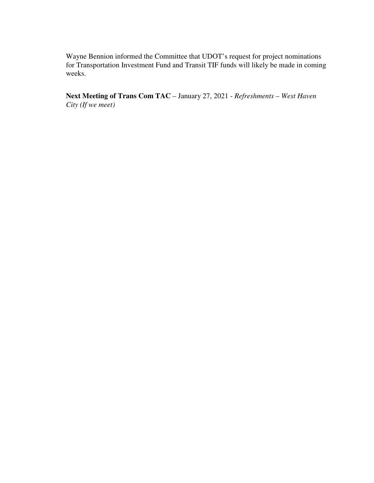Wayne Bennion informed the Committee that UDOT's request for project nominations for Transportation Investment Fund and Transit TIF funds will likely be made in coming weeks.

**Next Meeting of Trans Com TAC** – January 27, 2021 - *Refreshments – West Haven City (If we meet)*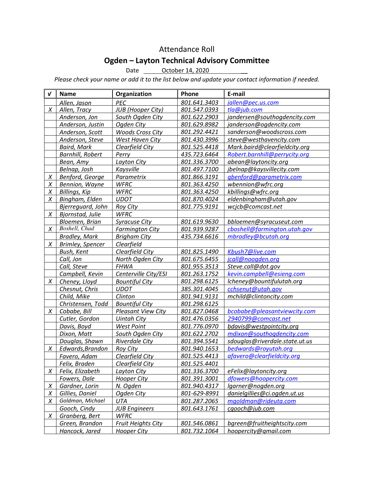# Attendance Roll

# Ogden – Layton Technical Advisory Committee

Date <u>October 14, 2020</u>

Please check your name or add it to the list below and update your contact information if needed.

| $\boldsymbol{v}$ | <b>Name</b>             | Organization              | Phone        | E-mail                         |
|------------------|-------------------------|---------------------------|--------------|--------------------------------|
|                  | Allen, Jason            | PEC                       | 801.641.3403 | iallen@pec.us.com              |
| X                | Allen, Tracy            | <b>JUB</b> (Hooper City)  | 801.547.0393 | tla@jub.com                    |
|                  | Anderson, Jon           | South Ogden City          | 801.622.2903 | jandersen@southogdencity.com   |
|                  | Anderson, Justin        | Ogden City                | 801.629.8982 | janderson@ogdencity.com        |
|                  | Anderson, Scott         | <b>Woods Cross City</b>   | 801.292.4421 | sanderson@woodscross.com       |
|                  | Anderson, Steve         | West Haven City           | 801.430.3996 | steve@westhavencity.com        |
|                  | <b>Baird, Mark</b>      | Clearfield City           | 801.525.4418 | Mark.baird@clearfieldcity.org  |
|                  | <b>Barnhill, Robert</b> | Perry                     | 435.723.6464 | Robert.barnhill@perrycity.org  |
|                  | Bean, Amy               | Layton City               | 801.336.3700 | abean@laytoncity.org           |
|                  | Belnap, Josh            | Kaysville                 | 801.497.7100 | jbelnap@kaysvillecity.com      |
| $\chi$           | Benford, George         | Parametrix                | 801.866.3191 | gbenford@parametrix.com        |
| Χ                | Bennion, Wayne          | <b>WFRC</b>               | 801.363.4250 | wbennion@wfrc.org              |
| Χ                | <b>Billings, Kip</b>    | <b>WFRC</b>               | 801.363.4250 | kbillings@wfrc.org             |
| Χ                | Bingham, Elden          | <b>UDOT</b>               | 801.870.4024 | eldenbingham@utah.gov          |
|                  | Bjerreguard, John       | <b>Roy City</b>           | 801.775.9191 | wcjcb@comcast.net              |
| Χ                | Bjornstad, Julie        | <b>WFRC</b>               |              |                                |
|                  | Bloemen, Brian          | <b>Syracuse City</b>      | 801.619.9630 | bbloemen@syracuseut.com        |
| X                | Boshell, Chad           | <b>Farmington City</b>    | 801.939.9287 | cboshell@farmington.utah.gov   |
|                  | <b>Bradley, Mark</b>    | <b>Brigham City</b>       | 435.734.6616 | mbradley@bcutah.org            |
| X                | <b>Brimley, Spencer</b> | Clearfield                |              |                                |
|                  | Bush, Kent              | Clearfield City           | 801.825.1490 | Kbush7@live.com                |
|                  | Call, Jon               | North Ogden City          | 801.675.6455 | jcall@noogden.org              |
|                  | Call, Steve             | <b>FHWA</b>               | 801.955.3513 | Steve.call@dot.gov             |
|                  | Campbell, Kevin         | Centerville City/ESI      | 801.263.1752 | kevin.campbell@esieng.com      |
| X                | Cheney, Lloyd           | <b>Bountiful City</b>     | 801.298.6125 | lcheney@bountifulutah.org      |
|                  | Chesnut, Chris          | <b>UDOT</b>               | 385.301.4045 | cchsenut@utah.gov              |
|                  | Child, Mike             | Clinton                   | 801.941.9131 | mchild@clintoncity.com         |
|                  | Christensen, Todd       | <b>Bountiful City</b>     | 801.298.6125 |                                |
| $\chi$           | Cobabe, Bill            | <b>Pleasant View City</b> | 801.827.0468 | bcobabe@pleasantviewcity.com   |
|                  | Cutler, Gordon          | <b>Uintah City</b>        | 801.476.0356 | 2940799@comcast.net            |
|                  | Davis, Boyd             | <b>West Point</b>         | 801.776.0970 | bdavis@westpointcity.org       |
|                  | Dixon, Matt             | South Ogden City          | 801.622.2702 | mdixon@southogdencity.com      |
|                  | Douglas, Shawn          | <b>Riverdale City</b>     | 801.394.5541 | sdouglas@riverdale.state.ut.us |
| X                | Edwards, Brandon        | Roy City                  | 801.940.1653 | bedwards@royutah.org           |
|                  | Favero, Adam            | Clearfield City           | 801.525.4413 | afavero@clearfieldcity.org     |
|                  | Felix, Braden           | Clearfield City           | 801.525.4401 |                                |
| X                | Felix, Elizabeth        | Layton City               | 801.336.3700 | eFelix@laytoncity.org          |
|                  |                         |                           | 801.391.3001 |                                |
|                  | Fowers, Dale            | <b>Hooper City</b>        |              | dfowers@hoopercity.com         |
| $\chi$           | Gardner, Lorin          | N. Ogden                  | 801.940.4317 | lgarner@nogden.org             |
| Χ                | Gillies, Daniel         | Ogden City                | 801-629-8991 | danielgillies@ci.ogden.ut.us   |
| Χ                | Goldman, Michael        | UTA                       | 801.287.2065 | mgoldman@rideuta.com           |
|                  | Gooch, Cindy            | <b>JUB Engineers</b>      | 801.643.1761 | cqooch@jub.com                 |
| Χ                | Granberg, Bert          | <b>WFRC</b>               |              |                                |
|                  | Green, Brandon          | <b>Fruit Heights City</b> | 801.546.0861 | bgreen@fruitheightscity.com    |
|                  | Hancock, Jared          | <b>Hooper City</b>        | 801.732.1064 | hoopercity@gmail.com           |